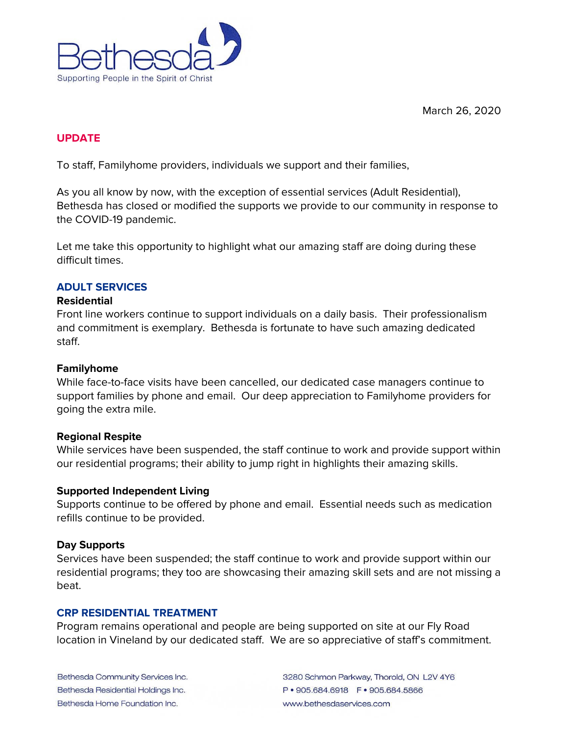



## **UPDATE**

To staff, Familyhome providers, individuals we support and their families,

As you all know by now, with the exception of essential services (Adult Residential), Bethesda has closed or modified the supports we provide to our community in response to the COVID-19 pandemic.

Let me take this opportunity to highlight what our amazing staff are doing during these difficult times.

### **ADULT SERVICES**

#### **Residential**

Front line workers continue to support individuals on a daily basis. Their professionalism and commitment is exemplary. Bethesda is fortunate to have such amazing dedicated staff.

#### **Familyhome**

While face-to-face visits have been cancelled, our dedicated case managers continue to support families by phone and email. Our deep appreciation to Familyhome providers for going the extra mile.

#### **Regional Respite**

While services have been suspended, the staff continue to work and provide support within our residential programs; their ability to jump right in highlights their amazing skills.

#### **Supported Independent Living**

Supports continue to be offered by phone and email. Essential needs such as medication refills continue to be provided.

#### **Day Supports**

Services have been suspended; the staff continue to work and provide support within our residential programs; they too are showcasing their amazing skill sets and are not missing a beat.

#### **CRP RESIDENTIAL TREATMENT**

Program remains operational and people are being supported on site at our Fly Road location in Vineland by our dedicated staff. We are so appreciative of staff's commitment.

Bethesda Community Services Inc. Bethesda Residential Holdings Inc. Bethesda Home Foundation Inc.

3280 Schmon Parkway, Thorold, ON L2V 4Y6 www.bethesdaservices.com